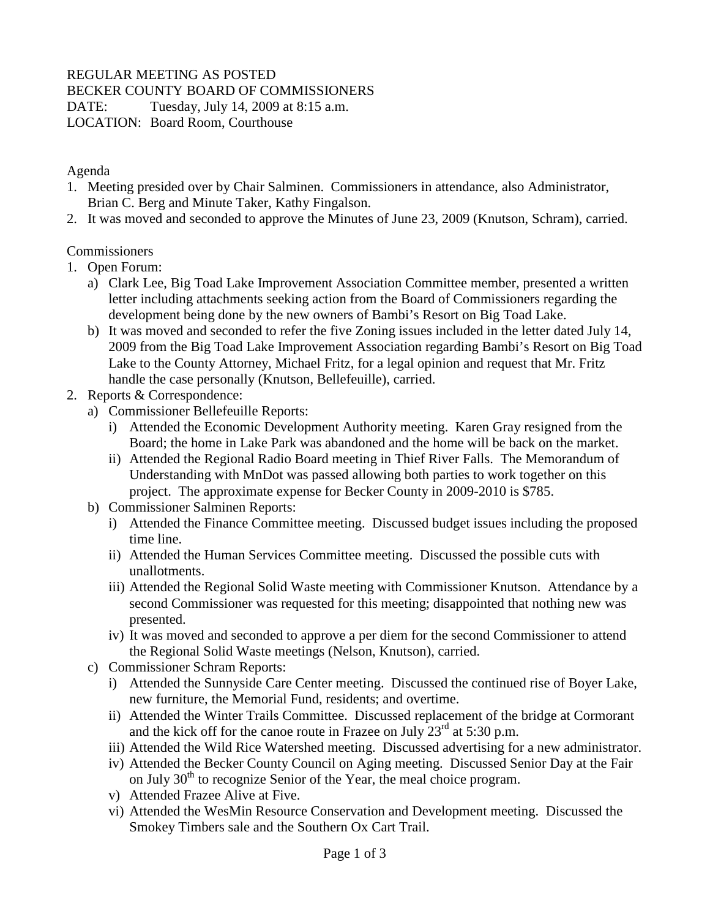## REGULAR MEETING AS POSTED

## BECKER COUNTY BOARD OF COMMISSIONERS

DATE: Tuesday, July 14, 2009 at 8:15 a.m.

LOCATION: Board Room, Courthouse

## Agenda

- 1. Meeting presided over by Chair Salminen. Commissioners in attendance, also Administrator, Brian C. Berg and Minute Taker, Kathy Fingalson.
- 2. It was moved and seconded to approve the Minutes of June 23, 2009 (Knutson, Schram), carried.

## Commissioners

- 1. Open Forum:
	- a) Clark Lee, Big Toad Lake Improvement Association Committee member, presented a written letter including attachments seeking action from the Board of Commissioners regarding the development being done by the new owners of Bambi's Resort on Big Toad Lake.
	- b) It was moved and seconded to refer the five Zoning issues included in the letter dated July 14, 2009 from the Big Toad Lake Improvement Association regarding Bambi's Resort on Big Toad Lake to the County Attorney, Michael Fritz, for a legal opinion and request that Mr. Fritz handle the case personally (Knutson, Bellefeuille), carried.
- 2. Reports & Correspondence:
	- a) Commissioner Bellefeuille Reports:
		- i) Attended the Economic Development Authority meeting. Karen Gray resigned from the Board; the home in Lake Park was abandoned and the home will be back on the market.
		- ii) Attended the Regional Radio Board meeting in Thief River Falls. The Memorandum of Understanding with MnDot was passed allowing both parties to work together on this project. The approximate expense for Becker County in 2009-2010 is \$785.
	- b) Commissioner Salminen Reports:
		- i) Attended the Finance Committee meeting. Discussed budget issues including the proposed time line.
		- ii) Attended the Human Services Committee meeting. Discussed the possible cuts with unallotments.
		- iii) Attended the Regional Solid Waste meeting with Commissioner Knutson. Attendance by a second Commissioner was requested for this meeting; disappointed that nothing new was presented.
		- iv) It was moved and seconded to approve a per diem for the second Commissioner to attend the Regional Solid Waste meetings (Nelson, Knutson), carried.
	- c) Commissioner Schram Reports:
		- i) Attended the Sunnyside Care Center meeting. Discussed the continued rise of Boyer Lake, new furniture, the Memorial Fund, residents; and overtime.
		- ii) Attended the Winter Trails Committee. Discussed replacement of the bridge at Cormorant and the kick off for the canoe route in Frazee on July  $23^{rd}$  at 5:30 p.m.
		- iii) Attended the Wild Rice Watershed meeting. Discussed advertising for a new administrator.
		- iv) Attended the Becker County Council on Aging meeting. Discussed Senior Day at the Fair on July  $30<sup>th</sup>$  to recognize Senior of the Year, the meal choice program.
		- v) Attended Frazee Alive at Five.
		- vi) Attended the WesMin Resource Conservation and Development meeting. Discussed the Smokey Timbers sale and the Southern Ox Cart Trail.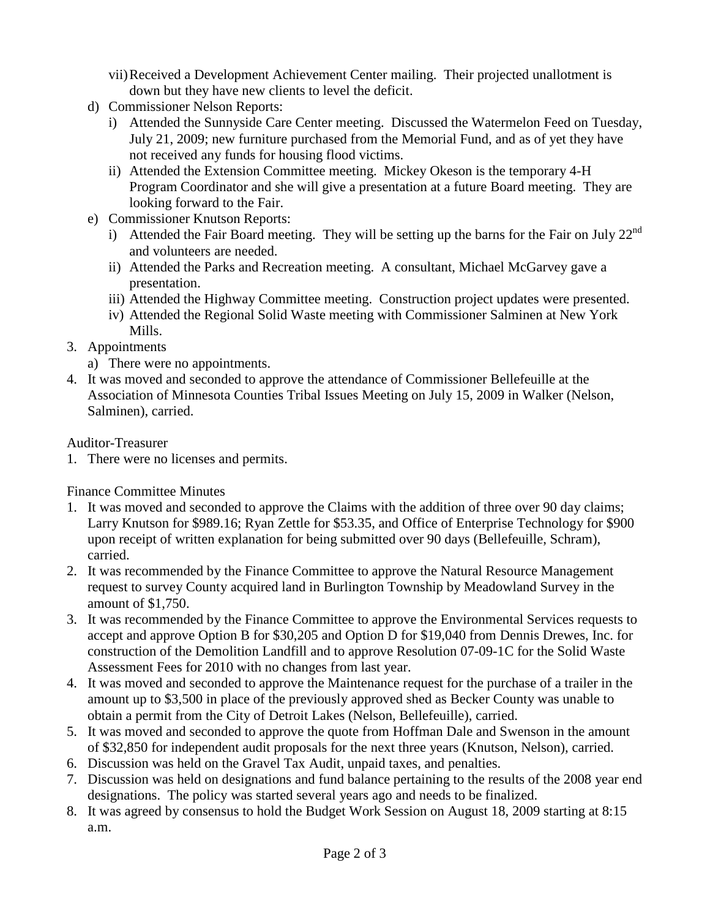- vii)Received a Development Achievement Center mailing. Their projected unallotment is down but they have new clients to level the deficit.
- d) Commissioner Nelson Reports:
	- i) Attended the Sunnyside Care Center meeting. Discussed the Watermelon Feed on Tuesday, July 21, 2009; new furniture purchased from the Memorial Fund, and as of yet they have not received any funds for housing flood victims.
	- ii) Attended the Extension Committee meeting. Mickey Okeson is the temporary 4-H Program Coordinator and she will give a presentation at a future Board meeting. They are looking forward to the Fair.
- e) Commissioner Knutson Reports:
	- i) Attended the Fair Board meeting. They will be setting up the barns for the Fair on July  $22<sup>nd</sup>$ and volunteers are needed.
	- ii) Attended the Parks and Recreation meeting. A consultant, Michael McGarvey gave a presentation.
	- iii) Attended the Highway Committee meeting. Construction project updates were presented.
	- iv) Attended the Regional Solid Waste meeting with Commissioner Salminen at New York Mills.
- 3. Appointments
	- a) There were no appointments.
- 4. It was moved and seconded to approve the attendance of Commissioner Bellefeuille at the Association of Minnesota Counties Tribal Issues Meeting on July 15, 2009 in Walker (Nelson, Salminen), carried.

Auditor-Treasurer

1. There were no licenses and permits.

Finance Committee Minutes

- 1. It was moved and seconded to approve the Claims with the addition of three over 90 day claims; Larry Knutson for \$989.16; Ryan Zettle for \$53.35, and Office of Enterprise Technology for \$900 upon receipt of written explanation for being submitted over 90 days (Bellefeuille, Schram), carried.
- 2. It was recommended by the Finance Committee to approve the Natural Resource Management request to survey County acquired land in Burlington Township by Meadowland Survey in the amount of \$1,750.
- 3. It was recommended by the Finance Committee to approve the Environmental Services requests to accept and approve Option B for \$30,205 and Option D for \$19,040 from Dennis Drewes, Inc. for construction of the Demolition Landfill and to approve Resolution 07-09-1C for the Solid Waste Assessment Fees for 2010 with no changes from last year.
- 4. It was moved and seconded to approve the Maintenance request for the purchase of a trailer in the amount up to \$3,500 in place of the previously approved shed as Becker County was unable to obtain a permit from the City of Detroit Lakes (Nelson, Bellefeuille), carried.
- 5. It was moved and seconded to approve the quote from Hoffman Dale and Swenson in the amount of \$32,850 for independent audit proposals for the next three years (Knutson, Nelson), carried.
- 6. Discussion was held on the Gravel Tax Audit, unpaid taxes, and penalties.
- 7. Discussion was held on designations and fund balance pertaining to the results of the 2008 year end designations. The policy was started several years ago and needs to be finalized.
- 8. It was agreed by consensus to hold the Budget Work Session on August 18, 2009 starting at 8:15 a.m.